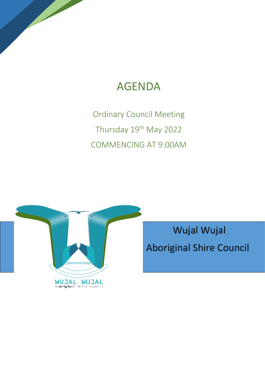# AGENDA

Ordinary Council Meeting Thursday 19<sup>th</sup> May 2022 COMMENCING AT 9:00AM



 Wujal Wujal Aboriginal Shire Council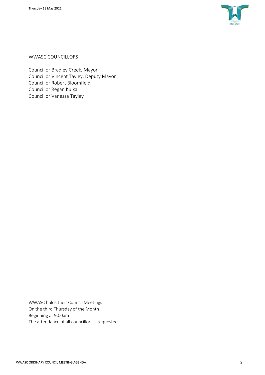

WWASC COUNCILLORS

Councillor Bradley Creek, Mayor Councillor Vincent Tayley, Deputy Mayor Councillor Robert Bloomfield Councillor Regan Kulka Councillor Vanessa Tayley

WWASC holds their Council Meetings On the third Thursday of the Month Beginning at 9:00am The attendance of all councillors is requested.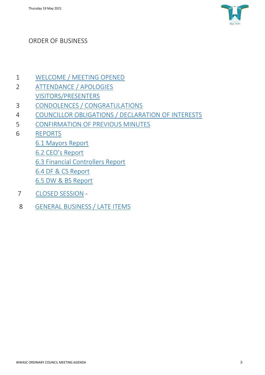

## ORDER OF BUSINESS

- 1 [WELCOME / MEETING OPENED](#page-3-0)
- 2 ATTENDANCE / APOLOGIES VISITORS/PRESENTERS
- 3 [CONDOLENCES / CONGRATULATIONS](#page-3-1)
- 4 COUNCILLOR OBLIGATIONS / DECLARATION OF INTERESTS
- 5 CONFIRMATION OF PREVIOUS MINUTES
- 6 REPORTS
	- [6.1 Mayors Report](#page-4-0)
	- [6.2 CEO's Report](#page-4-1)
	- 6.3 Financial Controllers Report
	- 6.4 DF & CS Report
	- 6.5 DW & BS Report
- 7 [CLOSED SESSION](#page-16-0) -
- 8 [GENERAL BUSINESS / LATE ITEMS](#page-16-1)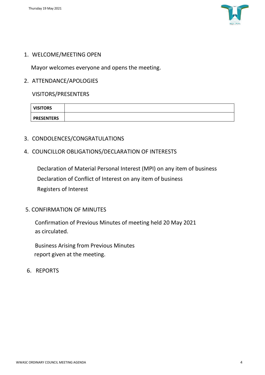

## <span id="page-3-0"></span>1. WELCOME/MEETING OPEN

Mayor welcomes everyone and opens the meeting.

## 2. ATTENDANCE/APOLOGIES

VISITORS/PRESENTERS

| <b>VISITORS</b>   |  |
|-------------------|--|
| <b>PRESENTERS</b> |  |

- <span id="page-3-1"></span>3. CONDOLENCES/CONGRATULATIONS
- 4. COUNCILLOR OBLIGATIONS/DECLARATION OF INTERESTS

Declaration of Material Personal Interest (MPI) on any item of business Declaration of Conflict of Interest on any item of business Registers of Interest

## 5. CONFIRMATION OF MINUTES

Confirmation of Previous Minutes of meeting held 20 May 2021 as circulated.

Business Arising from Previous Minutes report given at the meeting.

6. REPORTS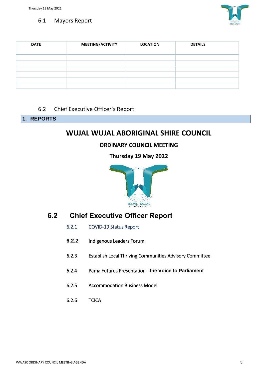

## <span id="page-4-0"></span>6.1 Mayors Report

| <b>DATE</b> | MEETING/ACTIVITY | <b>LOCATION</b> | <b>DETAILS</b> |
|-------------|------------------|-----------------|----------------|
|             |                  |                 |                |
|             |                  |                 |                |
|             |                  |                 |                |
|             |                  |                 |                |
|             |                  |                 |                |
|             |                  |                 |                |

## 6.2 Chief Executive Officer's Report

## <span id="page-4-1"></span>**1. REPORTS**

## **WUJAL WUJAL ABORIGINAL SHIRE COUNCIL**

## **ORDINARY COUNCIL MEETING**

**Thursday 19 May 2022**



## **6.2 Chief Executive Officer Report**

- 6.2.1 COVID-19 Status Report
- **6.2.2** Indigenous Leaders Forum
- 6.2.3 Establish Local Thriving Communities Advisory Committee
- 6.2.4 Pama Futures Presentation **the Voice to Parliament**
- 6.2.5 Accommodation Business Model
- 6.2.6 TCICA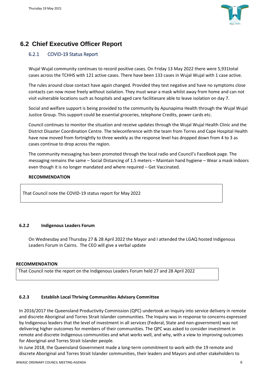

## **6.2 Chief Executive Officer Report**

## 6.2.1 COVID-19 Status Report

Wujal Wujal community continues to record positive cases. On Friday 13 May 2022 there were 5,931total cases across the TCHHS with 121 active cases. There have been 133 cases in Wujal Wujal with 1 case active.

The rules around close contact have again changed. Provided they test negative and have no symptoms close contacts can now move freely without isolation. They must wear a mask whilst away from home and can not visit vulnerable locations such as hospitals and aged care facilitiesare able to leave isolation on day 7.

Social and welfare support is being provided to the community by Apunapima Health through the Wujal Wujal Justice Group. This support could be essential groceries, telephone Credits, power cards etc.

Council continues to monitor the situation and receive updates through the Wujal Wujal Health Clinic and the District Disaster Coordination Centre. The teleconference with the team from Torres and Cape Hospital Health have now moved from fortnightly to three weekly as the response level has dropped down from 4 to 3 as cases continue to drop across the region.

The community messaging has been promoted through the local radio and Council's FaceBook page. The messaging remains the same – Social Distancing of 1.5 meters – Maintain hand hygiene – Wear a mask indoors even though it is no longer mandated and where required – Get Vaccinated.

#### **RECOMMENDATION**

That Council note the COVID-19 status report for May 2022

## **6.2.2 Indigenous Leaders Forum**

On Wednesday and Thursday 27 & 28 April 2022 the Mayor and I attended the LGAQ hosted Indigenous Leaders Forum in Cairns. The CEO will give a verbal update

#### **RECOMMENDATION**

That Council note the report on the Indigenous Leaders Forum held 27 and 28 April 2022

## **6.2.3 Establish Local Thriving Communities Advisory Committee**

In 2016/2017 the Queensland Productivity Commission (QPC) undertook an Inquiry into service delivery in remote and discrete Aboriginal and Torres Strait Islander communities. The Inquiry was in response to concerns expressed by Indigenous leaders that the level of investment in all services (Federal, State and non-government) was not delivering higher outcomes for members of their communities. The QPC was asked to consider investment in remote and discrete Indigenous communities and what works well, and why, with a view to improving outcomes for Aboriginal and Torres Strait Islander people.

In June 2018, the Queensland Government made a long-term commitment to work with the 19 remote and discrete Aboriginal and Torres Strait Islander communities, their leaders and Mayors and other stakeholders to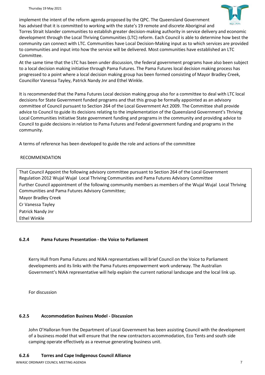

implement the intent of the reform agenda proposed by the QPC. The Queensland Government has advised that it is committed to working with the state's 19 remote and discrete Aboriginal and Torres Strait Islander communities to establish greater decision-making authority in service delivery and economic development through the Local Thriving Communities (LTC) reform. Each Council is able to determine how best the community can connect with LTC. Communities have Local Decision-Making input as to which services are provided to communities and input into how the service will be delivered. Most communities have established an LTC Committee.

At the same time that the LTC has been under discussion, the federal government programs have also been subject to a local decision making initiative through Pama Futures. The Pama Futures local decision making process has progressed to a point where a local decision making group has been formed consisting of Mayor Bradley Creek, Councillor Vanessa Tayley, Patrick Nandy Jnr and Ethel Winkle.

It is recommended that the Pama Futures Local decision making group also for a committee to deal with LTC local decisions for State Government funded programs and that this group be formally appointed as an advisory committee of Council pursuant to Section 264 of the Local Government Act 2009. The Committee shall provide advice to Council to guide its decisions relating to the implementation of the Queensland Government's Thriving Local Communities Initiative State government funding and programs in the community and providing advice to Council to guide decisions in relation to Pama Futures and Federal government funding and programs in the community.

A terms of reference has been developed to guide the role and actions of the committee

## RECOMMENDATION

That Council Appoint the following advisory committee pursuant to Section 264 of the Local Government Regulation 2012 Wujal Wujal Local Thriving Communities and Pama Futures Advisory Committee Further Council appointment of the following community members as members of the Wujal Wujal Local Thriving Communities and Pama Futures Advisory Committee;

Mayor Bradley Creek Cr Vanessa Tayley Patrick Nandy Jnr Ethel Winkle

## **6.2.4 Pama Futures Presentation - the Voice to Parliament**

Kerry Hull from Pama Futures and NIAA representatives will brief Council on the Voice to Parliament developments and its links with the Pama Futures empowerment work underway. The Australian Government's NIAA representative will help explain the current national landscape and the local link up.

For discussion

## **6.2.5 Accommodation Business Model - Discussion**

John O'Halloran from the Department of Local Government has been assisting Council with the development of a business model that will ensure that the new contractors accommodation, Eco Tents and south side camping operate effectively as a revenue generating business unit.

#### **6.2.6 Torres and Cape Indigenous Council Alliance**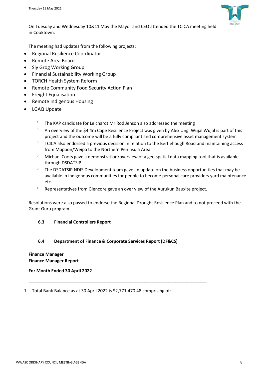

On Tuesday and Wednesday 10&11 May the Mayor and CEO attended the TCICA meeting held in Cooktown.

The meeting had updates from the following projects;

- Regional Resilience Coordinator
- Remote Area Board
- Sly Grog Working Group
- Financial Sustainability Working Group
- TORCH Health System Reform
- Remote Community Food Security Action Plan
- Freight Equalisation
- Remote Indigenous Housing
- LGAQ Update
	- <sup>o</sup> The KAP candidate for Leichardt Mr Rod Jenson also addressed the meeting
	- $^{\circ}$  An overview of the \$4.4m Cape Resilience Project was given by Alex Ung. Wujal Wujal is part of this project and the outcome will be a fully compliant and comprehensive asset management system
	- ° TCICA also endorsed a previous decision in relation to the Bertiehaugh Road and maintaining access from Mapoon/Weipa to the Northern Peninsula Area
	- Michael Coots gave a demonstration/overview of a geo spatial data mapping tool that is available through DSDATSIP
	- $\degree$  The DSDATSIP NDIS Development team gave an update on the business opportunities that may be available in indigenous communities for people to become personal care providers yard maintenance etc
	- <sup>o</sup> Representatives from Glencore gave an over view of the Aurukun Bauxite project.

Resolutions were also passed to endorse the Regional Drought Resilience Plan and to not proceed with the Grant Guru program.

## **6.3 Financial Controllers Report**

## **6.4 Department of Finance & Corporate Services Report (DF&CS)**

**\_\_\_\_\_\_\_\_\_\_\_\_\_\_\_\_\_\_\_\_\_\_\_\_\_\_\_\_\_\_\_\_\_\_\_\_\_\_\_\_\_\_\_\_\_\_\_\_\_\_\_\_\_\_\_\_\_\_\_\_\_\_\_\_\_\_\_\_\_\_\_\_\_**

#### **Finance Manager Finance Manager Report**

**For Month Ended 30 April 2022**

1. Total Bank Balance as at 30 April 2022 is \$2,771,470.48 comprising of: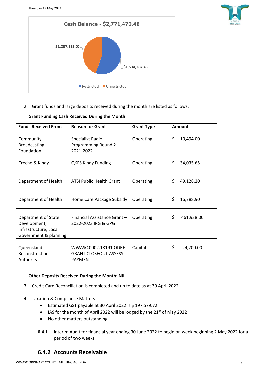



2. Grant funds and large deposits received during the month are listed as follows:

| <b>Funds Received From</b>                                                            | <b>Reason for Grant</b>                                                 | <b>Grant Type</b> | <b>Amount</b>    |
|---------------------------------------------------------------------------------------|-------------------------------------------------------------------------|-------------------|------------------|
| Community<br><b>Broadcasting</b><br>Foundation                                        | Specialist Radio<br>Programming Round 2-<br>2021-2022                   | Operating         | \$<br>10,494.00  |
| Creche & Kindy                                                                        | <b>QKFS Kindy Funding</b>                                               | Operating         | \$<br>34,035.65  |
| Department of Health                                                                  | <b>ATSI Public Health Grant</b>                                         | Operating         | \$<br>49,128.20  |
| Department of Health                                                                  | Home Care Package Subsidy                                               | Operating         | \$<br>16,788.90  |
| Department of State<br>Development,<br>Infrastructure, Local<br>Government & planning | Financial Assistance Grant-<br>2022-2023 IRG & GPG                      | Operating         | \$<br>461,938.00 |
| Queensland<br>Reconstruction<br>Authority                                             | WWASC.0002.18191.QDRF<br><b>GRANT CLOSEOUT ASSESS</b><br><b>PAYMENT</b> | Capital           | \$<br>24,200.00  |

## **Grant Funding Cash Received During the Month:**

## **Other Deposits Received During the Month: NIL**

- 3. Credit Card Reconciliation is completed and up to date as at 30 April 2022.
- 4. Taxation & Compliance Matters
	- Estimated GST payable at 30 April 2022 is \$ 197,579.72.
	- IAS for the month of April 2022 will be lodged by the 21<sup>st</sup> of May 2022
	- No other matters outstanding
	- **6.4.1** Interim Audit for financial year ending 30 June 2022 to begin on week beginning 2 May 2022 for a period of two weeks.

## **6.4.2 Accounts Receivable**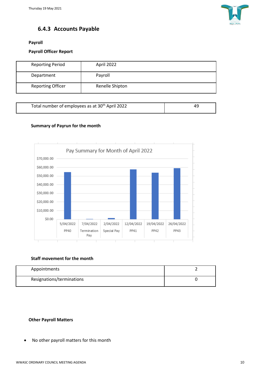

## **6.4.3 Accounts Payable**

**Payroll**

## **Payroll Officer Report**

| <b>Reporting Period</b>  | April 2022      |
|--------------------------|-----------------|
| Department               | Payroll         |
| <b>Reporting Officer</b> | Renelle Shipton |

| Total number of employees as at 30 <sup>th</sup> April 2022 |  |
|-------------------------------------------------------------|--|

## **Summary of Payrun for the month**



## **Staff movement for the month**

| Appointments              |  |
|---------------------------|--|
| Resignations/terminations |  |

## **Other Payroll Matters**

• No other payroll matters for this month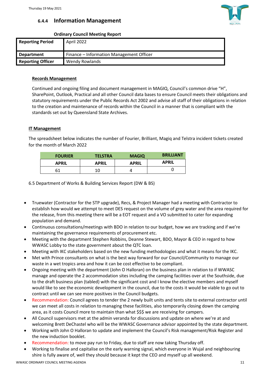## **6.4.4 Information Management**

## **Ordinary Council Meeting Report**

| <b>Reporting Period</b>  | April 2022                               |
|--------------------------|------------------------------------------|
| <b>Department</b>        | Finance – Information Management Officer |
| <b>Reporting Officer</b> | Wendy Rowlands                           |

## **Records Management**

Continued and ongoing filing and document management in MAGIQ, Council's common drive "H", SharePoint, Outlook, Practical and all other Council data bases to ensure Council meets their obligations and statutory requirements under the Public Records Act 2002 and advise all staff of their obligations in relation to the creation and maintenance of records within the Council in a manner that is compliant with the standards set out by Queensland State Archives.

## **IT Management**

The spreadsheet below indicates the number of Fourier, Brilliant, Magiq and Telstra incident tickets created for the month of March 2022

| <b>FOURIER</b> | <b>TELSTRA</b> | <b>MAGIO</b> | <b>BRILLIANT</b> |
|----------------|----------------|--------------|------------------|
| <b>APRIL</b>   | <b>APRIL</b>   | <b>APRIL</b> | <b>APRIL</b>     |
| 61             | 10             |              |                  |

6.5 Department of Works & Building Services Report (DW & BS)

- Truewater (Contractor for the STP upgrade), Recs, & Project Manager had a meeting with Contractor to establish how would we attempt to meet DES request on the volume of grey water and the area required for the release, from this meeting there will be a EOT request and a VO submitted to cater for expanding population and demand.
- Continuous consultations/meetings with BDO in relation to our budget, how we are tracking and if we're maintaining the governance requirements of procurement etc.
- Meeting with the department Stephen Robbins, Deanne Stewart, BDO, Mayor & CEO in regard to how WWASC Lobby to the state government about the QTC loan.
- Meeting with IKC stakeholders based on the new funding methodologies and what it means for the IKC.
- Met with Prince consultants on what is the best way forward for our Council/Community to manage our waste in a wet tropics area and how it can be cost effective to be compliant.
- Ongoing meeting with the department (John O Halloran) on the business plan in relation to if WWASC manage and operate the 2 accommodation sites including the camping facilities over at the Southside, due to the draft business plan (tabled) with the significant cost and I know the elective members and myself would like to see the economic development in the council, due to the costs it would be viable to go out to contract until we can see more positives in the Council budgets.
- Recommendation: Council agrees to tender the 2 newly built units and tents site to external contractor until we can meet all costs in relation to managing these facilities, also temporarily closing down the camping area, as it costs Council more to maintain than what \$\$\$ we are receiving for campers.
- All Council supervisors met at the admin veranda for discussions and update on where we're at and welcoming Brett DeChastel who will be the WWASC Governance advisor appointed by the state department.
- Working with John O Halloran to update and implement the Council's Risk management/Risk Register and the new induction booklet.
- Recommendation: to move pay run to Friday, due to staff are now taking Thursday off.
- Working to finalise and capitalise on the early warning signal, which everyone in Wujal and neighbouring shire is fully aware of, well they should because it kept the CEO and myself up all weekend.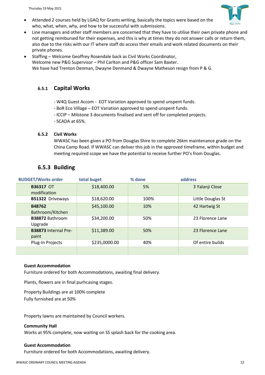• Attended 2 courses held by LGAQ for Grants writing, basically the topics were based on the who, what, when, why, and how to be successful with submissions.



- Line managers and other staff members are concerned that they have to utilise their own private phone and not getting reimbursed for their expenses, and this is why at times they do not answer calls or return them, also due to the risks with our IT where staff do access their emails and work related documents on their private phones.
- Staffing Welcome Geoffrey Rosendale back as Civil Works Coordinator, Welcome new P&G Supervisor – Phil Carlton and P&G officer Sam Baxter. We have had Trenton Denman, Dwayne Denmand & Dwayne Matheson resign from P & G.

## **6.5.1 Capital Works**

- W4Q Guest Accom EOT Variation approved to spend unspent funds.
- BoR Eco Village EOT Variation approved to spend unspent funds.
- ICCIP Milstone 3 documents finalised and sent off for completed projects.
- SCADA at 65%.

#### **6.5.2 Civil Works**

WWASC has been given a PO from Douglas Shire to complete 26km maintenance grade on the China Camp Road. If WWASC can deliver this job in the approved timeframe, within budget and meeting required scope we have the potential to receive further PO's from Douglas.

## **6.5.3 Building**

| <b>BUDGET/Works order</b>            | total buget   | % done | address           |
|--------------------------------------|---------------|--------|-------------------|
| <b>B36317 OT</b><br>modification     | \$18,400.00   | 5%     | 3 Yalanji Close   |
| B51322 Driveways                     | \$18,620.00   | 100%   | Little Douglas St |
| B48762<br>Bathroom/Kitchen           | \$45,100.00   | 10%    | 42 Hartwig St     |
| <b>B38872 Bathroom</b><br>Upgrade    | \$34,200.00   | 50%    | 23 Florence Lane  |
| <b>B38873 Internal Pre-</b><br>paint | \$11,389.00   | 50%    | 23 Florence Lane  |
| Plug-In Projects                     | \$235,0000.00 | 40%    | Of entire builds  |
|                                      |               |        |                   |

#### **Guest Accommodation**

Furniture ordered for both Accommodations, awaiting final delivery.

Plants, flowers are in final purhcasing stages.

Property Buildings are at 100% complete Fully furnished are at 50%

Property lawns are maintained by Council workers.

#### **Community Hall**

Works at 95% complete, now waiting on SS splash back for the cooking area.

#### **Guest Accommodation**

Furniture ordered for both Accommodations, awaiting delivery.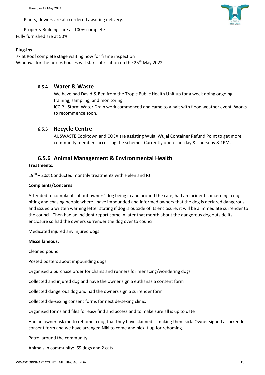Thursday 19 May 2021

Plants, flowers are also ordered awaiting delivery.

Property Buildings are at 100% complete Fully furnished are at 50%

#### **Plug-ins**

7x at Roof complete stage waiting now for frame inspection Windows for the next 6 houses will start fabrication on the 25<sup>th</sup> May 2022.

## **6.5.4 Water & Waste**

We have had David & Ben from the Tropic Public Health Unit up for a week doing ongoing training, sampling, and monitoring. ICCIP –Storm Water Drain work commenced and came to a halt with flood weather event. Works

## **6.5.5 Recycle Centre**

to recommence soon.

AUSWASTE Cooktown and COEX are assisting Wujal Wujal Container Refund Point to get more community members accessing the scheme. Currently open Tuesday & Thursday 8-1PM.

## **6.5.6 Animal Management & Environmental Health**

#### **Treatments:**

19<sup>TH</sup> – 20st Conducted monthly treatments with Helen and PJ

#### **Complaints/Concerns:**

Attended to complaints about owners' dog being in and around the café, had an incident concerning a dog biting and chasing people where I have impounded and informed owners that the dog is declared dangerous and issued a written warning letter stating if dog is outside of its enclosure, it will be a immediate surrender to the council. Then had an incident report come in later that month about the dangerous dog outside its enclosure so had the owners surrender the dog over to council.

Medicated injured any injured dogs

#### **Miscellaneous:**

Cleaned pound

Posted posters about impounding dogs

Organised a purchase order for chains and runners for menacing/wondering dogs

Collected and injured dog and have the owner sign a euthanasia consent form

Collected dangerous dog and had the owners sign a surrender form

Collected de-sexing consent forms for next de-sexing clinic.

Organised forms and files for easy find and access and to make sure all is up to date

Had an owner ask me to rehome a dog that they have claimed is making them sick. Owner signed a surrender consent form and we have arranged Niki to come and pick it up for rehoming.

Patrol around the community

Animals in community: 69 dogs and 2 cats

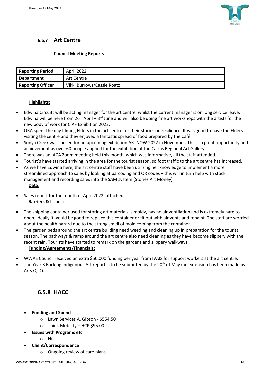

## **6.5.7 Art Centre**

## **Council Meeting Reports**

| <b>Reporting Period</b>  | April 2022                 |
|--------------------------|----------------------------|
| Department               | Art Centre                 |
| <b>Reporting Officer</b> | Vikki Burrows/Cassie Roatz |

#### **Highlights:**

- Edwina Circuitt will be acting manager for the art centre, whilst the current manager is on long service leave. Edwina will be here from  $26<sup>th</sup>$  April –  $3<sup>rd</sup>$  June and will also be doing fine art workshops with the artists for the new body of work for CIAF Exhibition 2022.
- QRA spent the day filming Elders in the art centre for their stories on resilience. It was good to have the Elders visiting the centre and they enjoyed a fantastic spread of food prepared by the Café.
- Sonya Creek was chosen for an upcoming exhibition ARTNOW 2022 in November. This is a great opportunity and achievement as over 60 people applied for the exhibition at the Cairns Regional Art Gallery.
- There was an IACA Zoom meeting held this month, which was informative, all the staff attended.
- Tourist's have started arriving in the area for the tourist season, so foot traffic to the art centre has increased.
- As we have Edwina here, the art centre staff have been utilizing her knowledge to implement a more streamlined approach to sales by looking at barcoding and QR codes – this will in turn help with stock management and recording sales into the SAM system (Stories Art Money). **Data:**
- Sales report for the month of April 2022, attached. **Barriers & Issues:**
- The shipping container used for storing art materials is moldy, has no air ventilation and is extremely hard to open. Ideally it would be good to replace this container or fit out with air vents and repaint. The staff are worried about the health hazard due to the strong smell of mold coming from the container.
- The garden beds around the art centre building need weeding and cleaning up in preparation for the tourist season. The pathways & ramp around the art centre also need cleaning as they have become slippery with the recent rain. Tourists have started to remark on the gardens and slippery walkways.

## **Funding/Agreements/Financials:**

- WWAS Council received an extra \$50,000 funding per year from IVAIS for support workers at the art centre.
- The Year 3 Backing Indigenous Art report is to be submitted by the 20<sup>th</sup> of May (an extension has been made by Arts QLD).

## **6.5.8 HACC**

- **Funding and Spend**
	- o Lawn Services A. Gibson \$554.50
	- o Think Mobility HCP \$95.00
- **Issues with Programs etc**
	- o Nil
- **Client/Correspondence**
	- o Ongoing review of care plans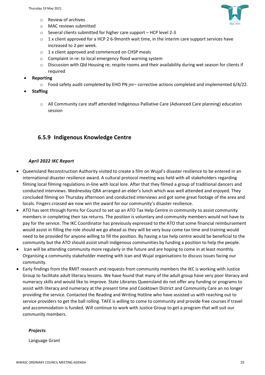- o Review of archives
- o MAC reviews submitted
- o Several clients submitted for higher care support HCP level 2-3
- $\circ$  1 x client approved for a HCP 2 6-9month wait time, in the interim care support services have increased to 2 per week.
- o 1 x client approved and commenced on CHSP meals
- o Complaint in re: to local emergency flood warning system
- o Discussion with Qld Housing re; respite rooms and their availability during wet season for clients if required
- **Reporting**
	- o Food safety audit completed by EHO PN jnr– corrective actions completed and implemented 6/4/22.
- **Staffing**
	- o All Community care staff attended Indigenous Palliative Care (Advanced Care planning) education session

## **6.5.9 Indigenous Knowledge Centre**

## *April 2022 IKC Report*

- Queensland Reconstruction Authority visited to create a film on Wujal's disaster resilience to be entered in an international disaster resilience award. A cultural protocol meeting was held with all stakeholders regarding filming local filming regulations in-line with local lore. After that they filmed a group of traditional dancers and conducted interviews. Wednesday QRA arranged an elder's lunch which was well attended and enjoyed. They concluded filming on Thursday afternoon and conducted interviews and got some great footage of the area and locals. Fingers crossed we now win the award for our community's disaster resilience.
- ATO has sent through forms for Council to set up an ATO Tax Help Centre in community to assist community members in completing their tax returns. The position is voluntary and community members would not have to pay for the service. The IKC Coordinator has previously expressed to the ATO that some financial reimbursement would assist in filling the role should we go ahead as they will be very busy come tax time and training would need to be provided for anyone willing to fill the position. By having a tax help centre would be beneficial to the community but the ATO should assist small indigenous communities by funding a position to help the people.
- Ican will be attending community more regularly in the future and are hoping to come in at least monthly. Organising a community stakeholder meeting with Ican and Wujal organisations to discuss issues facing our community.
- Early findings from the RMIT research and requests from community members the IKC is working with Justice Group to facilitate adult literacy lessons. We have found that many of the adult group have very poor literacy and numeracy skills and would like to improve. State Libraries Queensland do not offer any funding or programs to assist with literacy and numeracy at the present time and Cooktown District and Community Care an no longer providing the service. Contacted the Reading and Writing Hotline who have assisted us with reaching out to service providers to get the ball rolling. TAFE is willing to come to community and provide free courses if travel and accommodation is funded. Will continue to work with Justice Group to get a program that will suit our community members.

## *Projects*

Language Grant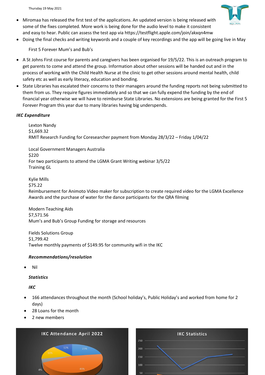Thursday 19 May 2021



- Miromaa has released the first test of the applications. An updated version is being released with some of the fixes completed. More work is being done for the audio level to make it consistent and easy to hear. Public can assess the test app via<https://testflight.apple.com/join/akxqn4mw>
- Doing the final checks and writing keywords and a couple of key recordings and the app will be going live in May

First 5 Forever Mum's and Bub's

- A St Johns First course for parents and caregivers has been organised for 19/5/22. This is an outreach program to get parents to come and attend the group. Information about other sessions will be handed out and in the process of working with the Child Health Nurse at the clinic to get other sessions around mental health, child safety etc as well as early literacy, education and bonding.
- State Libraries has escalated their concerns to their managers around the funding reports not being submitted to them from us. They require figures immediately and so that we can fully expend the funding by the end of financial year otherwise we will have to reimburse State Libraries. No extensions are being granted for the First 5 Forever Program this year due to many libraries having big underspends.

## *IKC Expenditure*

Lexton Nandy \$1,669.32 RMIT Research Funding for Coresearcher payment from Monday 28/3/22 – Friday 1/04/22

Local Government Managers Australia \$220 For two participants to attend the LGMA Grant Writing webinar 3/5/22 Training GL

Kylie Mills

\$75.22

Reimbursement for Animoto Video maker for subscription to create required video for the LGMA Excellence Awards and the purchase of water for the dance participants for the QRA filming

Modern Teaching Aids \$7,571.56 Mum's and Bub's Group Funding for storage and resources

Fields Solutions Group \$1,799.42 Twelve monthly payments of \$149.95 for community wifi in the IKC

## *Recommendations/resolution*

• Nil

## *Statistics*

*IKC*

- 166 attendances throughout the month (School holiday's, Public Holiday's and worked from home for 2 days)
- 28 Loans for the month
- 2 new members